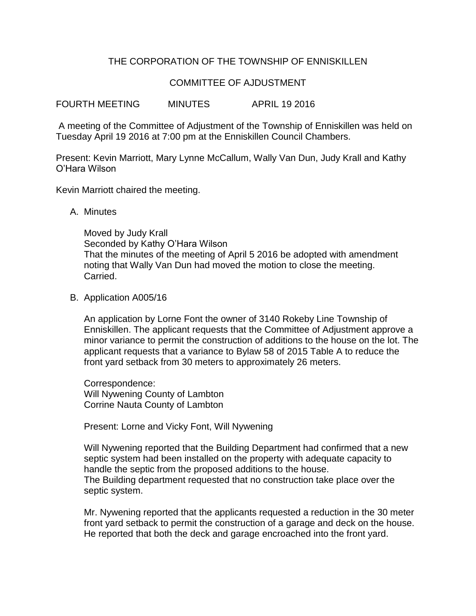## THE CORPORATION OF THE TOWNSHIP OF ENNISKILLEN

## COMMITTEE OF AJDUSTMENT

FOURTH MEETING MINUTES APRIL 19 2016

A meeting of the Committee of Adjustment of the Township of Enniskillen was held on Tuesday April 19 2016 at 7:00 pm at the Enniskillen Council Chambers.

Present: Kevin Marriott, Mary Lynne McCallum, Wally Van Dun, Judy Krall and Kathy O'Hara Wilson

Kevin Marriott chaired the meeting.

A. Minutes

Moved by Judy Krall Seconded by Kathy O'Hara Wilson That the minutes of the meeting of April 5 2016 be adopted with amendment noting that Wally Van Dun had moved the motion to close the meeting. Carried.

B. Application A005/16

An application by Lorne Font the owner of 3140 Rokeby Line Township of Enniskillen. The applicant requests that the Committee of Adjustment approve a minor variance to permit the construction of additions to the house on the lot. The applicant requests that a variance to Bylaw 58 of 2015 Table A to reduce the front yard setback from 30 meters to approximately 26 meters.

Correspondence: Will Nywening County of Lambton Corrine Nauta County of Lambton

Present: Lorne and Vicky Font, Will Nywening

Will Nywening reported that the Building Department had confirmed that a new septic system had been installed on the property with adequate capacity to handle the septic from the proposed additions to the house. The Building department requested that no construction take place over the septic system.

Mr. Nywening reported that the applicants requested a reduction in the 30 meter front yard setback to permit the construction of a garage and deck on the house. He reported that both the deck and garage encroached into the front yard.